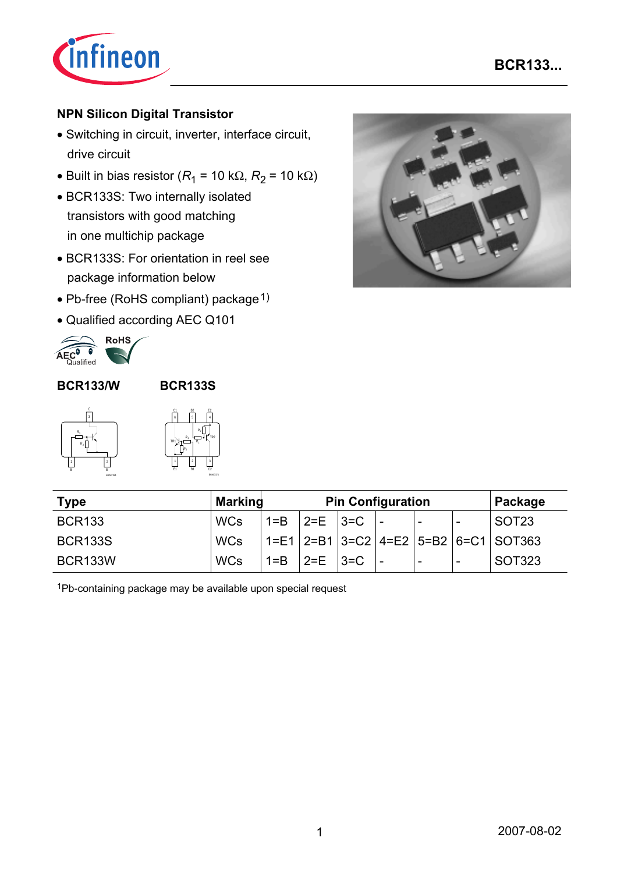

### **NPN Silicon Digital Transistor**

- Switching in circuit, inverter, interface circuit, drive circuit
- Built in bias resistor ( $R_1$  = 10 k $\Omega$ ,  $R_2$  = 10 k $\Omega$ )
- BCR133S: Two internally isolated transistors with good matching in one multichip package
- BCR133S: For orientation in reel see package information below
- Pb-free (RoHS compliant) package  $1$ )
- Qualified according AEC Q101



**BCR133/W BCR133S**



| C1<br>6                           | B <sub>2</sub><br>5 | E <sub>2</sub>  |
|-----------------------------------|---------------------|-----------------|
|                                   | R,<br>R,            | TR <sub>2</sub> |
| TR <sub>1</sub><br>R <sub>2</sub> | $\overline{R_1}$    |                 |
|                                   | $\overline{2}$      | ٩               |

EHA07174

| <b>Type</b>    | <b>Marking</b> | <b>Pin Configuration</b> |               |                                   |  | Package                  |   |                                                    |
|----------------|----------------|--------------------------|---------------|-----------------------------------|--|--------------------------|---|----------------------------------------------------|
| <b>BCR133</b>  | <b>WCs</b>     |                          |               | $1 = B$   $2 = E$   $3 = C$   $-$ |  |                          |   | SOT <sub>23</sub>                                  |
| <b>BCR133S</b> | <b>WCs</b>     |                          |               |                                   |  |                          |   | $1=E1$   2=B1   3=C2   4=E2   5=B2   6=C1   SOT363 |
| BCR133W        | <b>WCs</b>     | $1 = B$                  | $ 2=E$ $ 3=C$ |                                   |  | $\overline{\phantom{0}}$ | - | SOT323                                             |

1Pb-containing package may be available upon special request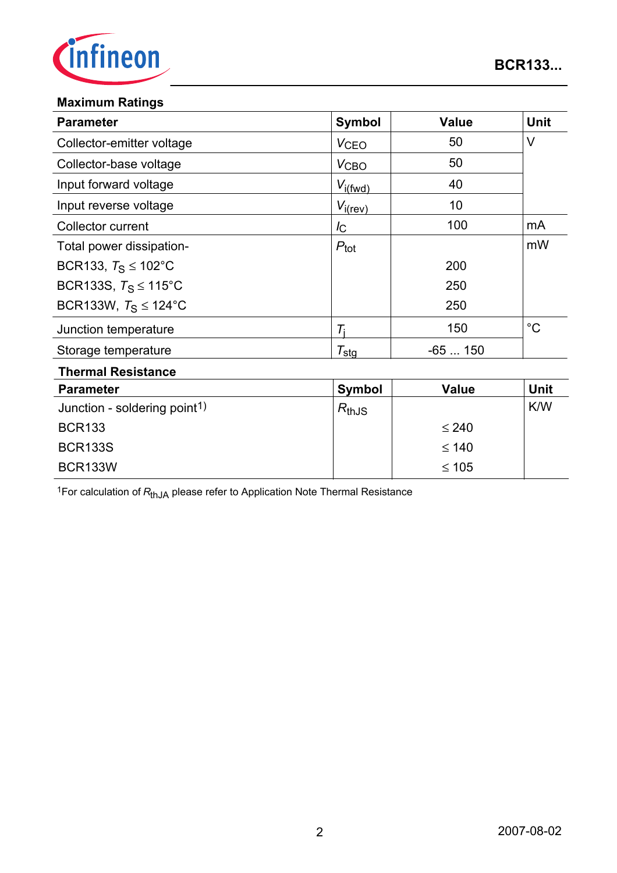

≤ 140 ≤ 105

#### **Maximum Ratings**

| <b>Parameter</b>                         | <b>Symbol</b>    | <b>Value</b> | <b>Unit</b> |
|------------------------------------------|------------------|--------------|-------------|
| Collector-emitter voltage                | <b>V</b> CEO     | 50           | $\vee$      |
| Collector-base voltage                   | V <sub>CBO</sub> | 50           |             |
| Input forward voltage                    | $V_{i(fwd)}$     | 40           |             |
| Input reverse voltage                    | $V_{i(rev)}$     | 10           |             |
| Collector current                        | $I_{\rm C}$      | 100          | mA          |
| Total power dissipation-                 | $P_{\text{tot}}$ |              | mW          |
| BCR133, $T_S \le 102^{\circ}$ C          |                  | 200          |             |
| BCR133S, $T_S \le 115^{\circ}$ C         |                  | 250          |             |
| BCR133W, $T_S \le 124$ °C                |                  | 250          |             |
| Junction temperature                     | T.               | 150          | $^{\circ}C$ |
| Storage temperature                      | $T_{\sf stg}$    | $-65150$     |             |
| <b>Thermal Resistance</b>                |                  |              |             |
| <b>Parameter</b>                         | <b>Symbol</b>    | <b>Value</b> | <b>Unit</b> |
| Junction - soldering point <sup>1)</sup> | $R_{thJS}$       |              | K/W         |
| <b>BCR133</b>                            |                  | $\leq 240$   |             |

BCR133S BCR133W

<sup>1</sup>For calculation of R<sub>thJA</sub> please refer to Application Note Thermal Resistance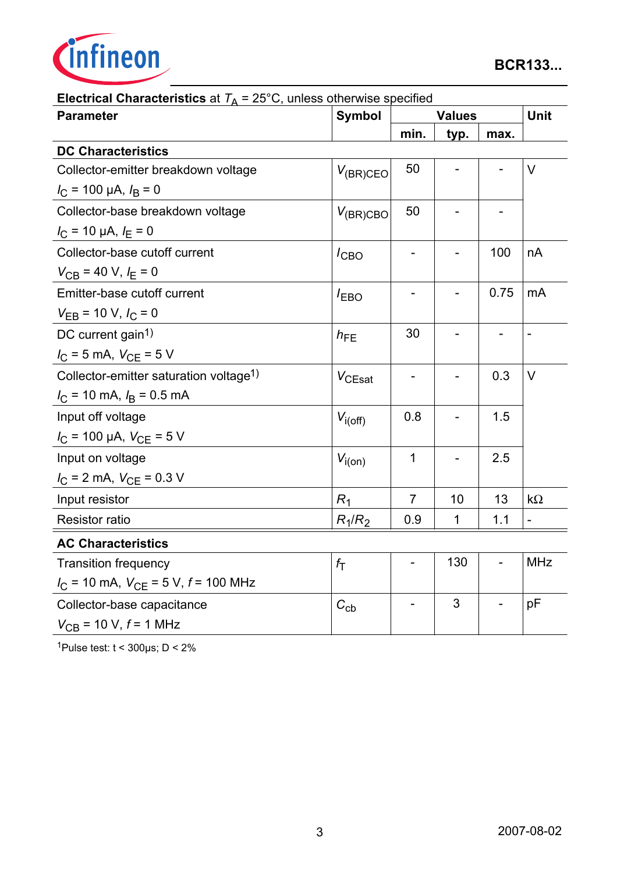

| <b>ENGLIGAL ORDINATIONS</b> at $T_A - Z_0$ O, anices only weed specifical<br><b>Parameter</b> | Symbol           |                              | <b>Values</b> |                          |                   |  |
|-----------------------------------------------------------------------------------------------|------------------|------------------------------|---------------|--------------------------|-------------------|--|
|                                                                                               |                  | min.                         | typ.          | max.                     |                   |  |
| <b>DC Characteristics</b>                                                                     |                  |                              |               |                          |                   |  |
| Collector-emitter breakdown voltage                                                           | $V_{(BR)CEO}$    | 50                           |               |                          | $\vee$            |  |
| $I_C$ = 100 µA, $I_B$ = 0                                                                     |                  |                              |               |                          |                   |  |
| Collector-base breakdown voltage                                                              | $V_{(BR)CBO}$    | 50                           |               |                          |                   |  |
| $I_{\rm C}$ = 10 µA, $I_{\rm E}$ = 0                                                          |                  |                              |               |                          |                   |  |
| Collector-base cutoff current                                                                 | $I_{CBO}$        |                              |               | 100                      | nA                |  |
| $V_{CB}$ = 40 V, $I_E$ = 0                                                                    |                  |                              |               |                          |                   |  |
| Emitter-base cutoff current                                                                   | $I_{EBO}$        |                              |               | 0.75                     | mA                |  |
| $V_{EB}$ = 10 V, $I_C$ = 0                                                                    |                  |                              |               |                          |                   |  |
| DC current gain <sup>1)</sup>                                                                 | $h_{FE}$         | 30                           |               |                          | $\qquad \qquad -$ |  |
| $I_C = 5$ mA, $V_{CE} = 5$ V                                                                  |                  |                              |               |                          |                   |  |
| Collector-emitter saturation voltage <sup>1)</sup>                                            | $V_{CEsat}$      | $\qquad \qquad \blacksquare$ |               | 0.3                      | $\vee$            |  |
| $I_{\rm C}$ = 10 mA, $I_{\rm B}$ = 0.5 mA                                                     |                  |                              |               |                          |                   |  |
| Input off voltage                                                                             | $V_{i(off)}$     | 0.8                          |               | 1.5                      |                   |  |
| $I_{\rm C}$ = 100 µA, $V_{\rm CE}$ = 5 V                                                      |                  |                              |               |                          |                   |  |
| Input on voltage                                                                              | $V_{i(0n)}$      | $\mathbf{1}$                 |               | 2.5                      |                   |  |
| $I_{\rm C}$ = 2 mA, $V_{\rm CE}$ = 0.3 V                                                      |                  |                              |               |                          |                   |  |
| Input resistor                                                                                | $R_1$            | $\overline{7}$               | 10            | 13                       | $k\Omega$         |  |
| <b>Resistor ratio</b>                                                                         | $R_1/R_2$        | 0.9                          | $\mathbf 1$   | 1.1                      | $\blacksquare$    |  |
| <b>AC Characteristics</b>                                                                     |                  |                              |               |                          |                   |  |
| <b>Transition frequency</b>                                                                   | $f_{\mathsf{T}}$ | $\blacksquare$               | 130           | $\overline{\phantom{0}}$ | <b>MHz</b>        |  |
| $I_{\text{C}}$ = 10 mA, $V_{\text{CE}}$ = 5 V, $f$ = 100 MHz                                  |                  |                              |               |                          |                   |  |
| Collector-base capacitance                                                                    | $C_{cb}$         |                              | 3             |                          | pF                |  |
| $V_{CB}$ = 10 V, $f$ = 1 MHz                                                                  |                  |                              |               |                          |                   |  |

**Electrical Characteristics** at  $T_A = 25^\circ$ C, unless otherwise specified

1Pulse test:  $t < 300 \mu s$ ; D < 2%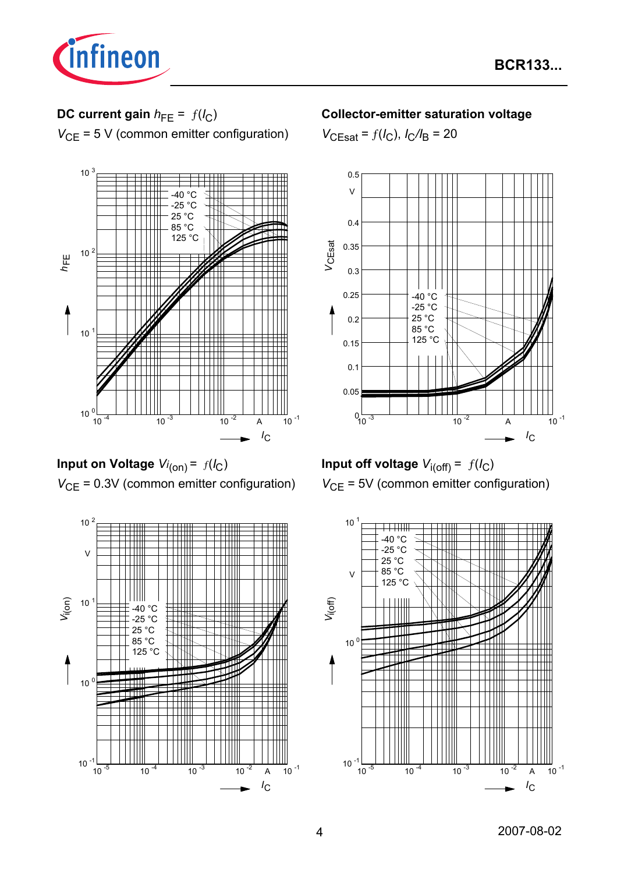

# **DC current gain**  $h_{FE} = f(l_C)$ *V*<sub>CE</sub> = 5 V (common emitter configuration)



**Input on Voltage**  $Vi_{(on)} = f(I_C)$ *V*<sub>CE</sub> = 0.3V (common emitter configuration)



## **Collector-emitter saturation voltage**

 $V_{\text{CEsat}} = f(I_{\text{C}}), I_{\text{C}}/I_{\text{B}} = 20$ 



**Input off voltage**  $V_{i(off)} = f(I_C)$ *V*<sub>CE</sub> = 5V (common emitter configuration)

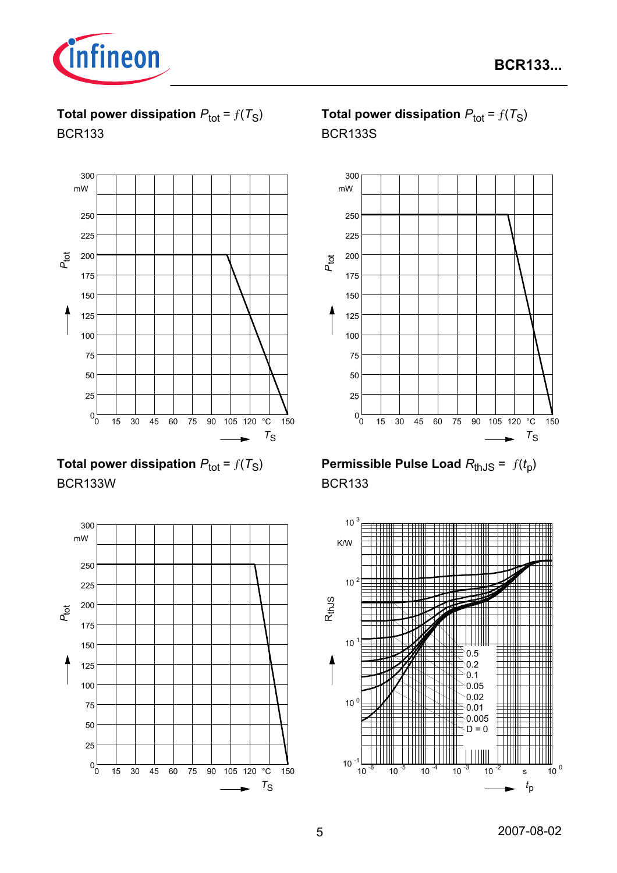

**Total power dissipation**  $P_{\text{tot}} = f(T_S)$ BCR133



**Total power dissipation**  $P_{\text{tot}} = f(T_S)$ BCR133W



# **Total power dissipation**  $P_{\text{tot}} = f(T_S)$ BCR133S



**Permissible Pulse Load**  $R_{th,JS} = f(t_p)$ BCR133

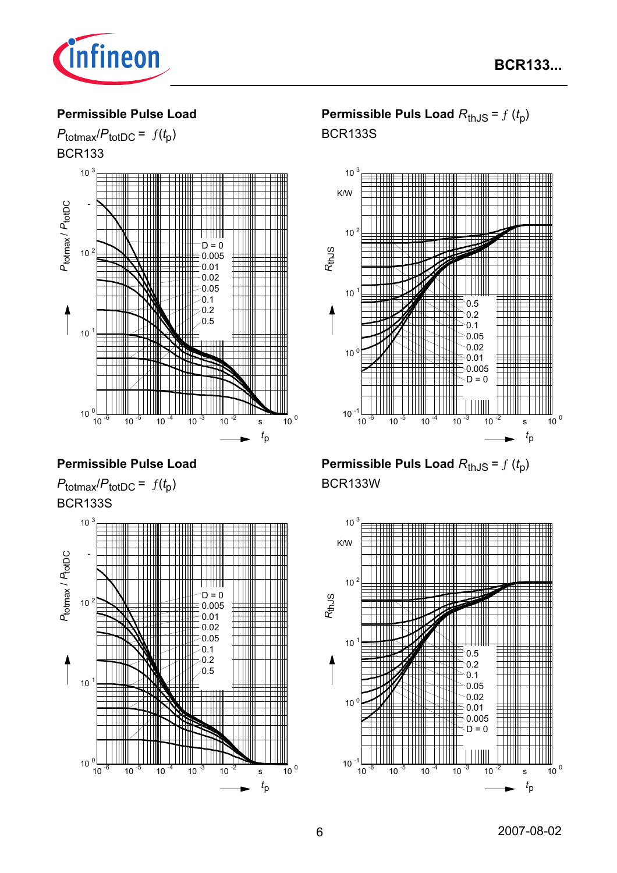

#### **Permissible Pulse Load**

 $P_{\text{totmax}}/P_{\text{totDC}} = f(t_p)$ BCR133



#### **Permissible Pulse Load**





# **Permissible Puls Load**  $R_{thJS} = f(t_p)$ BCR133S



**Permissible Puls Load**  $R_{thJS} = f(t_p)$ BCR133W

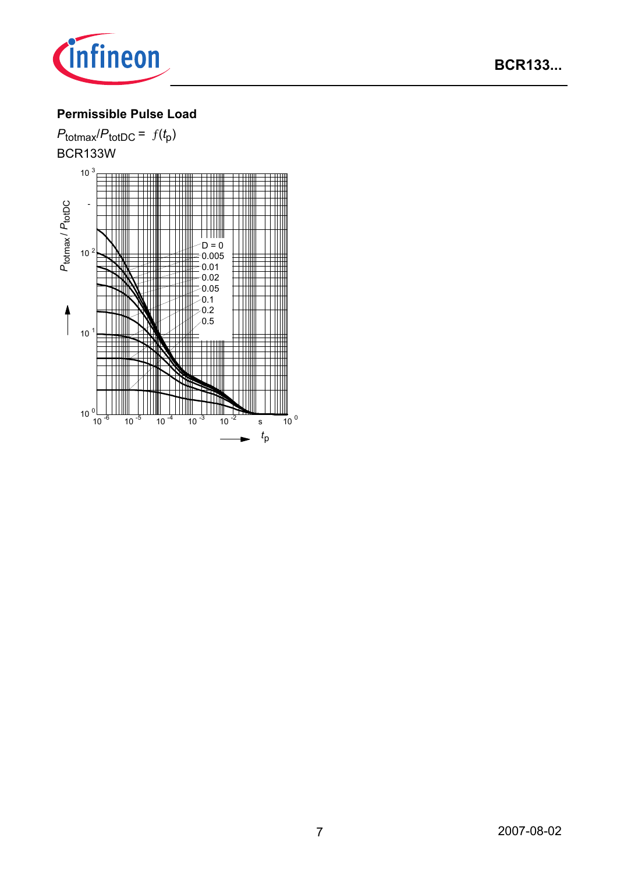

## **Permissible Pulse Load**

 $P_{\text{totmax}}/P_{\text{totDC}} = f(t_p)$ BCR133W

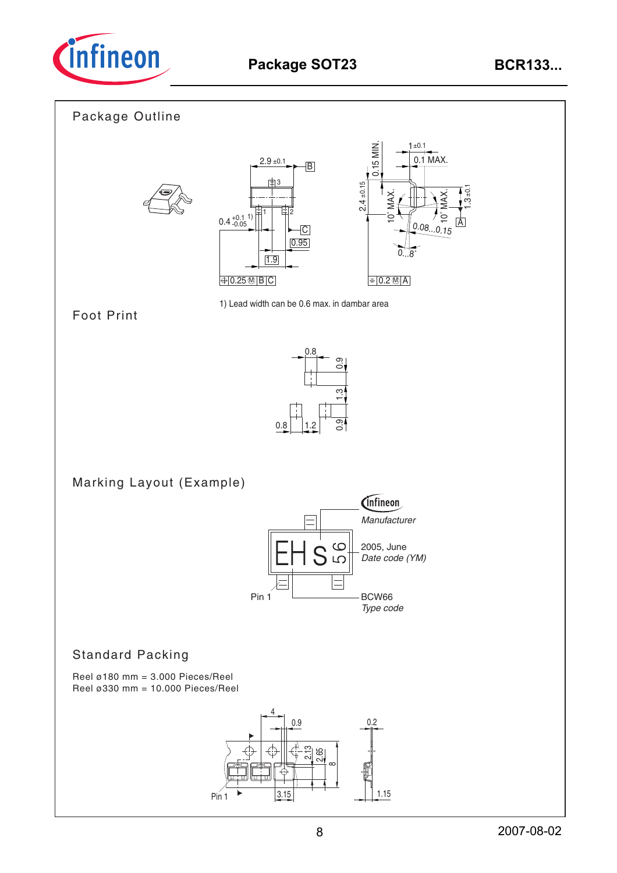

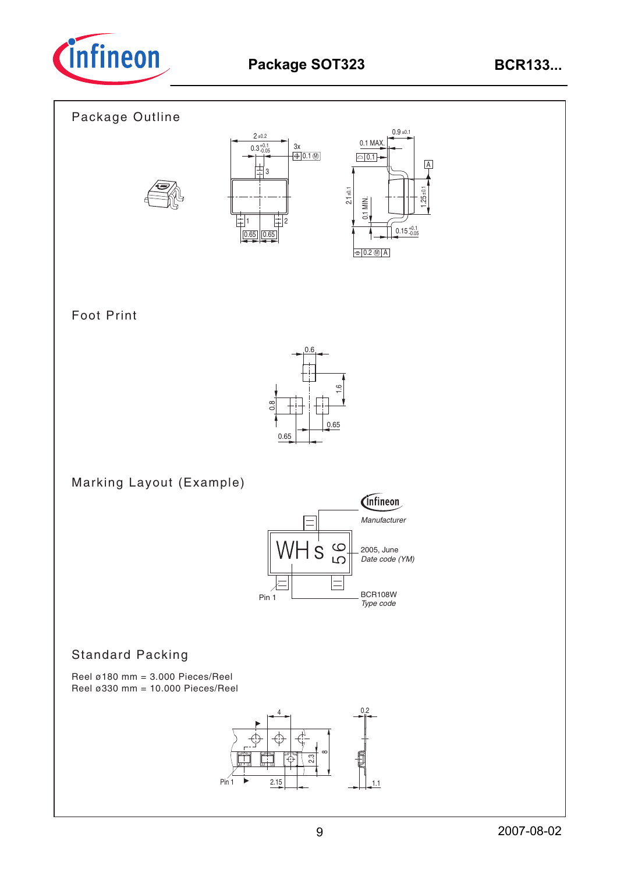

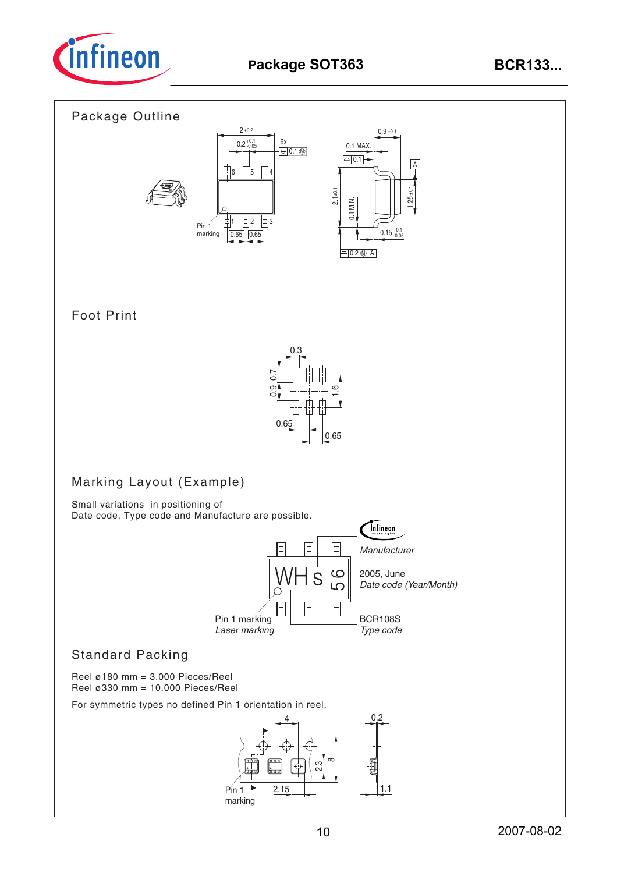